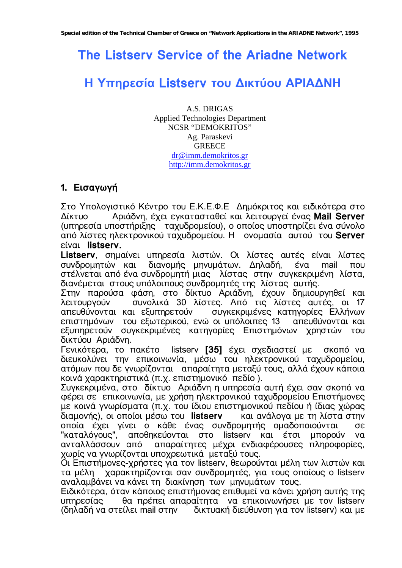# **The Listserv Service of the Ariadne Network**

# **Η Υπηρεσία Listserv του ∆ικτύου ΑΡΙΑ∆ΝΗ**

A.S. DRIGAS Applied Technologies Department NCSR "DEMOKRITOS" Ag. Paraskevi **GREECE** dr@imm.demokritos.gr http://imm.demokritos.gr

# **1. ≈ÈÛ·"˘"fi**

Στο Υπολογιστικό Κέντρο του Ε.Κ.Ε.Φ.Ε Δημόκριτος και ειδικότερα στο ƒflÍÙıÔ ¡ÒÈ‹‰ÌÁ, ›˜ÂÈ Â"Í·Ù·ÛÙ·ËÂfl Í·È ÎÂÈÙÔıÒ"Âfl ›Ì·Ú **Mail Server**  (υπηρεσία υποστήριξης ταχυδρομείου), ο οποίος υποστηρίζει ένα σύνολο ·ð¸ ÎflÛÙÂÚ ÁÎÂÍÙÒÔÌÈÍÔ˝ Ù·˜ı‰ÒÔÏÂflÔı. « ÔÌÔÏ·Ûfl· ·ıÙÔ˝ ÙÔı **Server**   $\epsilon$ íval **listserv.** 

**Listserv**, σημαίνει υπηρεσία λιστών. Οι λίστες αυτές είναι λίστες συνδρομητών και διανομής μηνυμάτων. Δηλαδή, ένα mail που στέλνεται από ένα συνδρομητή μιας λίστας στην συγκεκριμένη λίστα, διανέμεται στους υπόλοιπους συνδρομητές της λίστας αυτής.

Στην παρούσα φάση, στο δίκτυο Αριάδνη, έχουν δημιουργηθεί και<br>λειτουργούν ουνολικά 30 λίστες. Από τις λίστες αυτές, οι 17 συνολικά 30 λίστες. Από τις λίστες αυτές, οι 17 απευθύνονται και εξυπηρετούν συγκεκριμένες κατηγορίες Ελλήνων επιστημόνων του εξωτερικού, ενώ οι υπόλοιπες 13 απευθύνονται και εξυπηρετούν συγκεκριμένες κατηγορίες Επιστημόνων χρηστών του δικτύου Αριάδνη.

Γενικότερα, το πακέτο listserv [35] έχει σχεδιαστεί με σκοπό να διευκολύνει την επικοινωνία, μέσω του ηλεκτρονικού ταχυδρομείου, ατόμων που δε γνωρίζονται απαραίτητα μεταξύ τους, αλλά έχουν κάποια KOLVÁ Χαρακτηριστικά (π.χ. επιστημονικό πεδίο).

Συγκεκριμένα, στο δίκτυο Αριάδνη η υπηρεσία αυτή έχει σαν σκοπό να φέρει σε επικοινωνία, με χρήση ηλεκτρονικού ταχυδρομείου Επιστήμονες με κοινά γνωρίσματα (π.χ. του ίδιου επιστημονικού πεδίου ή ίδιας χώρας διαμονής), οι οποίοι μέσω του listserv και ανάλογα με τη λίστα στην οποία έχει γίνει ο κάθε ένας συνδρομητής ομαδοποιούνται σε "καταλόγους", αποθηκεύονται στο listserv και έτσι μπορούν να ανταλλάσσουν από απαραίτητες μέχρι ενδιαφέρουσες πληροφορίες, Υωρίς να γνωρίζονται υποχρεωτικά μεταξύ τους.

Οι Επιστήμονες-χρήστες για τον listserv, θεωρούνται μέλη των λιστών και τα μέλη χαρακτηρίζονται σαν συνδρομητές, για τους οποίους ο listserv αναλαμβάνει να κάνει τη διακίνηση των μηνυμάτων τους.

Ειδικότερα, όταν κάποιος επιστήμονας επιθυμεί να κάνει χρήση αυτής της υπηρεσίας θα πρέπει απαραίτητα να επικοινωνήσει με τον listserv (δηλαδή να στείλει mail στην δικτυακή διεύθυνση για τον listserv) και με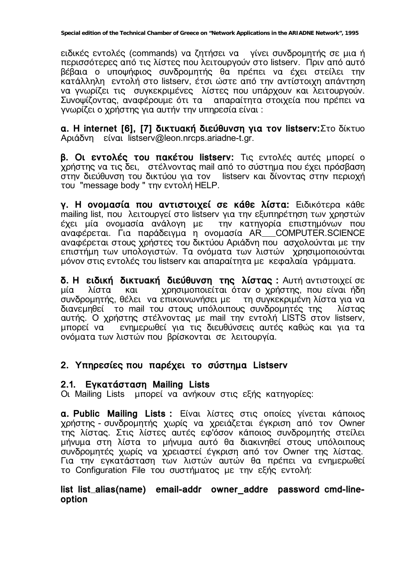ειδικές εντολές (commands) να ζητήσει να γίνει συνδρομητής σε μια ή περισσότερες από τις λίστες που λειτουργούν στο listserv. Πριν από αυτό βέβαια ο υποψήφιος συνδρομητής θα πρέπει να έχει στείλει την κατάλληλη εντολή στο listserv, έτσι ώστε από την αντίστοιχη απάντηση να γνωρίζει τις συγκεκριμένες λίστες που υπάρχουν και λειτουργούν. Συνοψίζοντας, αναφέρουμε ότι τα οπαραίτητα στοιχεία που πρέπει να γνωρίζει ο χρήστης για αυτήν την υπηρεσία είναι:

**a. Η internet [6], [7] δικτυακή διεύθυνση για τον listserv:** Στο δίκτυο Aριάδνη είναι listserv@leon.nrcps.ariadne-t.gr.

**β. Οι εντολές του πακέτου listserv:** Τις εντολές αυτές μπορεί ο χρήστης να τις δει, στέλνοντας mail από το σύστημα που έχει πρόσβαση στην διεύθυνση του δικτύου για τον listserv και δίνοντας στην περιοχή TOU "message body " την εντολή HELP.

**γ. Η ονομασία που αντιστοιχεί σε κάθε λίστα:** Ειδικότερα κάθε mailing list, που λειτουργεί στο listserv για την εξυπηρέτηση των χρηστών έχει μία ονομασία ανάλογη με την κατηγορία επιστημόνων που αναφέρεται. Για παράδειγμα η ονομασία AR COMPUTER.SCIENCE αναφέρεται στους χρήστες του δικτύου Αριάδνη που ασχολούνται με την επιστήμη των υπολογιστών. Τα ονόματα των λιστών χρησιμοποιούνται μόνον στις εντολές του listserv και απαραίτητα με κεφαλαία γράμματα.

**δ. Η ειδική δικτυακή διεύθυνση της λίστας:** Αυτή αντιστοιχεί σε μία λίστα και χρησιμοποιείται όταν ο χρήστης, που είναι ήδη συνδρομητής, θέλει να επικοινωνήσει με τη συγκεκριμένη λίστα για να διανεμηθεί το mail του στους υπόλοιπους συνδρομητές της λίστας αυτής. Ο χρήστης στέλνοντας με mail την εντολή LISTS στον listserv, μπορεί να ενημερωθεί για τις διευθύνσεις αυτές καθώς και για τα ονόματα των λιστών που βρίσκονται σε λειτουργία.

# 2. Υπηρεσίες που παρέχει το σύστημα Listserv

### **2.1. ≈"Í·Ù‹ÛÙ·ÛÁ Mailing Lists**

Oι Mailing Lists μπορεί να ανήκουν στις εξής κατηγορίες:

**a. Public Mailing Lists :** Είναι λίστες στις οποίες γίνεται κάποιος χρήστης - συνδρομητής χωρίς να χρειάζεται έγκριση από τον Owner της λίστας. Στις λίστες αυτές εφ'όσον κάποιος συνδρομητής στείλει μήνυμα στη λίστα το μήνυμα αυτό θα διακινηθεί στους υπόλοιπους συνδρομητές χωρίς να χρειαστεί έγκριση από τον Owner της λίστας. Για την εγκατάσταση των λιστών αυτών θα πρέπει να ενημερωθεί το Configuration File του συστήματος με την εξής εντολή:

### **list list alias(name) email-addr owner\_addre password cmd-lineoption**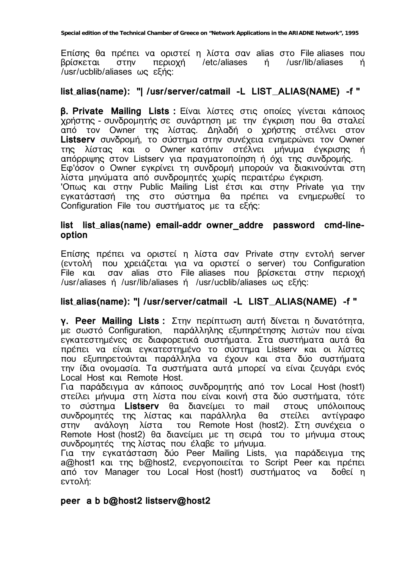Επίσης θα πρέπει να οριστεί η λίστα σαν alias στο File aliases που /etc/aliases  $n$ /usr/lib/aliases βρίσκεται στην περιοχή ń /usr/ucblib/aliases ως εξής:

### list\_alias(name): "| /usr/server/catmail -L LIST\_ALIAS(NAME) -f "

**β. Private Mailing Lists:** Είναι λίστες στις οποίες γίνεται κάποιος χρήστης - συνδρομητής σε συνάρτηση με την έγκριση που θα σταλεί από τον Owner της λίστας. Δηλαδή ο χρήστης στέλνει στον Listserv συνδρομή, το σύστημα στην συνέχεια ενημερώνει τον Owner λίστας και ο Owner κατόπιν στέλνει μήνυμα έγκρισης ή **TNC** απόρριψης στον Listserv για πραγματοποίηση ή όχι της συνδρομής. Εφ'όσον ο Owner εγκρίνει τη συνδρομή μπορούν να διακινούνται στη λίστα μηνύματα από συνδρομητές χωρίς περαιτέρω έγκριση. Όπως και στην Public Mailing List έτσι και στην Private για την εγκατάστασή της στο σύστημα θα πρέπει να ενημερωθεί το Configuration File του συστήματος με τα εξής:

#### list list alias(name) email-addr owner addre password cmd-lineoption

Επίσης πρέπει να οριστεί η λίστα σαν Private στην εντολή server (εντολή που χρειάζεται για να οριστεί ο server) του Configuration File kal σαν alias στο File aliases που βρίσκεται στην περιοχή /usr/aliases ή /usr/lib/aliases ή /usr/ucblib/aliases ως εξής:

### list\_alias(name): "| /usr/server/catmail -L LIST\_ALIAS(NAME) -f "

γ. Peer Mailing Lists: Στην περίπτωση αυτή δίνεται η δυνατότητα, με σωστό Configuration, παράλληλης εξυπηρέτησης λιστών που είναι εγκατεστημένες σε διαφορετικά συστήματα. Στα συστήματα αυτά θα πρέπει να είναι εγκατεστημένο το σύστημα Listserv και οι λίστες που εξυπηρετούνται παράλληλα να έχουν και στα δύο συστήματα την ίδια ονομασία. Τα συστήματα αυτά μπορεί να είναι ζευγάρι ενός Local Host kat Remote Host.

Για παράδειγμα αν κάποιος συνδρομητής από τον Local Host (host1) στείλει μήνυμα στη λίστα που είναι κοινή στα δύο συστήματα, τότε σύστημα Listserv θα διανείμει το mail στους υπόλοιπους TO συνδρομητές της λίστας και παράλληλα στείλει  $\theta\alpha$ αντίγραφο του Remote Host (host2). Στη συνέχεια ο  $\sigma$ TNV ανάλογη λίστα Remote Host (host2) θα διανείμει με τη σειρά του το μήνυμα στους συνδρομητές της λίστας που έλαβε το μήνυμα.

Για την εγκατάσταση δύο Peer Mailing Lists, για παράδειγμα της a@host1 και της b@host2, ενεργοποιείται το Script Peer και πρέπει από τον Manager του Local Host (host1) συστήματος να δοθεί η εντολή:

#### peer a b b@host2 listserv@host2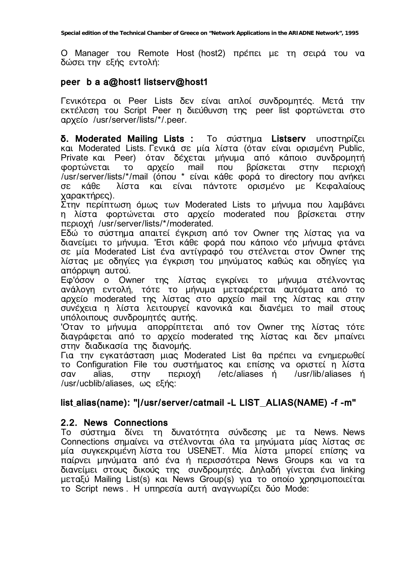O Manager του Remote Host (host2) πρέπει με τη σειρά του να δώσει την εξής εντολή:

### peer b a a@host1 listserv@host1

Γενικότερα οι Peer Lists δεν είναι απλοί συνδρομητές. Μετά την εκτέλεση του Script Peer η διεύθυνση της peer list φορτώνεται στο apxeio /usr/server/lists/\*/.peer.

δ. Moderated Mailing Lists: Το σύστημα Listserv υποστηρίζει και Moderated Lists. Γενικά σε μία λίστα (όταν είναι ορισμένη Public, Private και Peer) όταν δέχεται μήνυμα από κάποιο συνδρομητή φορτώνεται **TO** αρχείο mail που βρίσκεται στην περιοχή /usr/server/lists/\*/mail (όπου \* είναι κάθε φορά το directory που ανήκει κάθε λίστα και είναι πάντοτε ορισμένο με Κεφαλαίους  $\sigma$ <sub>E</sub> γαρακτήρες).

Στην περίπτωση όμως των Moderated Lists το μήνυμα που λαμβάνει η λίστα φορτώνεται στο αρχείο moderated που βρίσκεται στην περιοχή /usr/server/lists/\*/moderated.

Εδώ το σύστημα απαιτεί έγκριση από τον Owner της λίστας για να διανείμει το μήνυμα. Έτσι κάθε φορά που κάποιο νέο μήνυμα φτάνει σε μία Moderated List ένα αντίγραφό του στέλνεται στον Owner της λίστας με οδηγίες για έγκριση του μηνύματος καθώς και οδηγίες για απόρριψη αυτού.

Εφ'όσον ο Owner της λίστας εγκρίνει το μήνυμα στέλνοντας ανάλογη εντολή, τότε το μήνυμα μεταφέρεται αυτόματα από το<br>αρχείο moderated της λίστας στο αρχείο mail της λίστας και στην συνέχεια η λίστα λειτουργεί κανονικά και διανέμει το mail στους υπόλοιπους συνδρομητές αυτής.

Όταν το μήνυμα απορρίπτεται από τον Owner της λίστας τότε διαγράφεται από το αρχείο moderated της λίστας και δεν μπαίνει στην διαδικασία της διανομής.

Για την εγκατάσταση μιας Moderated List θα πρέπει να ενημερωθεί το Configuration File του συστήματος και επίσης να οριστεί η λίστα περιοχή /etc/aliases ή /usr/lib/aliases ή alias. σαν στην /usr/ucblib/aliases, ως εξής:

### list\_alias(name): "|/usr/server/catmail -L LIST\_ALIAS(NAME) -f -m"

### 2.2. News Connections

Το σύστημα δίνει τη δυνατότητα σύνδεσης με τα News. News Connections σημαίνει να στέλνονται όλα τα μηνύματα μίας λίστας σε μία συγκεκριμένη λίστα του USENET. Μία λίστα μπορεί επίσης να παίρνει μηνύματα από ένα ή περισσότερα News Groups και να τα διανείμει στους δικούς της συνδρομητές. Δηλαδή γίνεται ένα linking μεταξύ Mailing List(s) και News Group(s) για το οποίο χρησιμοποιείται το Script news. Η υπηρεσία αυτή αναγνωρίζει δύο Mode: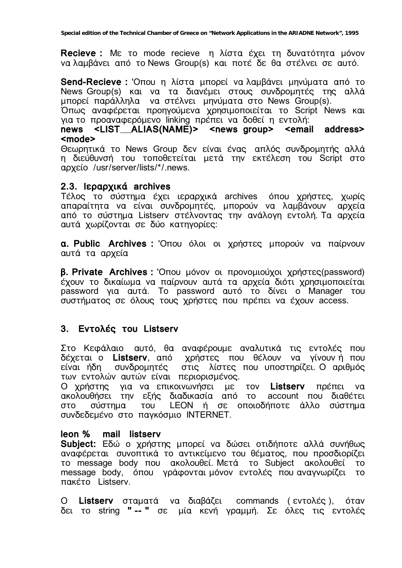Recieve: Με το mode recieve η λίστα έχει τη δυνατότητα μόνον να λαμβάνει από το News Group(s) και ποτέ δε θα στέλνει σε αυτό.

**Send-Recieve : Όπου η λίστα μπορεί να λαμβάνει μηνύματα από το** News Group(s) και να τα διανέμει στους συνδρομητές της αλλά μπορεί παράλληλα να στέλνει μηνύματα στο News Group(s).<br>Όπως αναφέρεται προηγούμενα χρησιμοποιείται το Script News και

για το προαναφερόμενο linking πρέπει να δοθεί η εντολή:

#### news <LIST\_ALIAS(NAME)> <news group> <email address> <mode>

Θεωρητικά το News Group δεν είναι ένας απλός συνδρομητής αλλά η διεύθυνσή του τοποθετείται μετά την εκτέλεση του Script στο αρχείο /usr/server/lists/\*/.news.

#### 2.3. Ιεραρχικά archives

Τέλος το σύστημα έχει ιεραρχικά archives όπου χρήστες, χωρίς απαραίτητα να είναι συνδρομητές, μπορούν να λαμβάνουν αρχεία από το σύστημα Listserv στέλνοντας την ανάλογη εντολή. Τα αρχεία αυτά χωρίζονται σε δύο κατηγορίες:

**a. Public Archives :** Όπου όλοι οι χρήστες μπορούν να παίρνουν αυτά τα αρχεία

**β. Private Archives : Οπου μόνον οι προνομιούχοι χρήστες (password)** έχουν το δικαίωμα να παίρνουν αυτά τα αρχεία διότι χρησιμοποιείται password για αυτά. Το password αυτό το δίνει ο Manager του συστήματος σε όλους τους χρήστες που πρέπει να έχουν access.

## 3. EVTO $\lambda$ ές του Listserv

Στο Κεφάλαιο αυτό, θα αναφέρουμε αναλυτικά τις εντολές που δέχεται ο Listserv, από χρήστες που θέλουν να γίνουν ή που είναι ήδη συνδρομητές στις λίστες που υποστηρίζει. Ο αριθμός των εντολών αυτών είναι περιορισμένος.

Ο χρήστης για να επικοινωνήσει με τον Listserv πρέπει να ακολουθήσει την εξής διαδικασία από το account που διαθέτει<br>στο σύστημα του LEON ή σε οποιοδήποτε άλλο σύστημα συνδεδεμένο στο παγκόσμιο INTERNET.

#### leon % mail listserv

**Subject:** Εδώ ο χρήστης μπορεί να δώσει οτιδήποτε αλλά συνήθως αναφέρεται συνοπτικά το αντικείμενο του θέματος, που προσδιορίζει το message body που ακολουθεί. Μετά το Subject ακολουθεί  $TO$ message body, όπου γράφονται μόνον εντολές που αναγνωρίζει το πακέτο Listserv.

 $\Omega$ Listserv σταματά να διαβάζει commands (εντολές), όταν δει το string "-- " σε μία κενή γραμμή. Σε όλες τις εντολές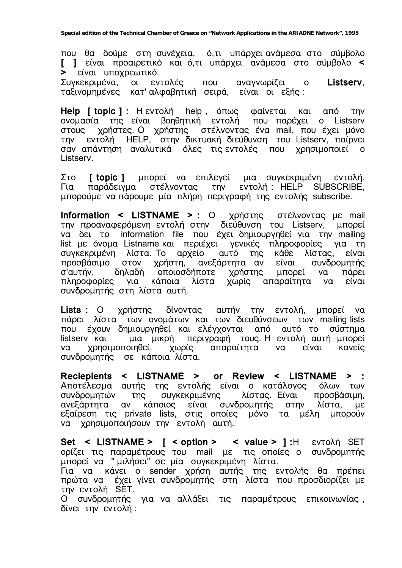που θα δούμε στη συνέχεια, ό,τι υπάρχει ανάμεσα στο σύμβολο **[ ]** είναι προαιρετικό και ό,τι υπάρχει ανάμεσα στο σύμβολο < **>** είναι υποχρεωτικό.

Συγκεκριμένα, οι εντολές που αναγνωρίζει ο Listserv, ταξινομημένες κατ'αλφαβητική σειρά, είναι οι εξής:

**Help [ topic ] :** Η εντολή help , όπως φαίνεται και από την ονομασία της είναι βοηθητική εντολή που παρέχει ο Listserv στους χρήστες. Ο χρήστης στέλνοντας ένα mail, που έχει μόνο την εντολή HELP, στην δικτυακή διεύθυνση του Listserv, παίρνει σαν απάντηση αναλυτικά όλες τις εντολές που χρησιμοποιεί ο Listserv.

Στο **[ topic ]** μπορεί να επιλεγεί μια συγκεκριμένη εντολή. Για παράδειγμα στέλνοντας την εντολή: HELP SUBSCRIBE, μπορούμε να πάρουμε μία πλήρη περιγραφή της εντολής subscribe.

Information < LISTNAME > : Ο χρήστης στέλνοντας με mail την προαναφερόμενη εντολή στην διεύθυνση του Listserv, μπορεί να δει το information file που έχει δημιουργηθεί για την mailing list με όνομα Listname και περιέχει γενικές πληροφορίες για τη<br>συγκεκριμένη λίστα. Το αρχείο αυτό της κάθε λίστας, είναι συγκεκριμένη λίστα. Το αρχείο<sup>΄</sup> προσβάσιμο στον χρήστη, ανεξάρτητα αν είναι συνδρομητής<br>σ'αυτήν, δηλαδή οποιοσδήποτε χρήστης μπορεί να πάρει Ο'αυτήν, δηλαδή οποιοσδήποτε χρήστης μπορεί να πάρει<br>πληροφορίες για κάποια λίστα χωρίς απαραίτητα να είναι πληροφορίες για κάποια λίστα χωρίς απαραίτητα να είναι συνδρομητής στη λίστα αυτή.

**Lists :** Ο χρήστης δίνοντας αυτήν την εντολή, μπορεί να πάρει λίστα των ονομάτων και των διευθύνσεων των mailing lists που έχουν δημιουργηθεί και ελέγχονται από αυτό το σύστημα listserv και για μικρή περιγραφή τους. Η εντολή αυτή μπορεί να χρησιμοποιηθεί, χωρίς απαραίτητα να είναι κανείς συνδρομητής σε κάποια λίστα.

**Reciepients < LISTNAME > or Review < LISTNAME > :**  Αποτέλεσμα αυτής της εντολής είναι ο κατάλογος όλων των<br>συνδρομητών της συνκεκριμένης λίστας Είναι προσβάσιμη. συνδρομητών της συγκεκριμένης λίστας. Είναι προσβάσιμη, ανεξάρτητα αν κάποιος είναι συνδρομητής στην λίστα, με εξαίρεση τις private lists, στις οποίες μόνο τα μέλη μπορούν να χρησιμοποιήσουν την εντολή αυτή.

Set < LISTNAME > [ < option > < value > ]:H EVTO $\lambda$ ή SET ορίζει τις παραμέτρους του mail με τις οποίες ο συνδρομητής μπορεί να "μιλήσει" σε μία συγκεκριμένη λίστα.

Για να κάνει ο sender χρήση αυτής της εντολής θα πρέπει πρώτα να έχει γίνει συνδρομητής στη λίστα που προσδιορίζει με την εντολή SET.

Ο συνδρομητής για να αλλάξει τις παραμέτρους επικοινωνίας, δίνει την εντολή: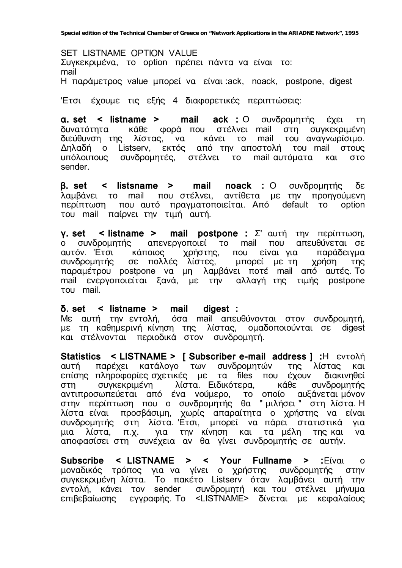SET LISTNAME OPTION VALUE Συγκεκριμένα, το option πρέπει πάντα να είναι το: mail H παράμετρος value μπορεί να είναι ack, noack, postpone, digest

'Έτσι έχουμε τις εξής 4 διαφορετικές περιπτώσεις:

**a. set < listname > mail ack :** Ο συνδρομητής έχει τη δυνατότητα κάθε φορά που στέλνει mail στη συγκεκριμένη διεύθυνση της λίστας, να κάνει το mail του αναγνωρίσιμο. Δηλαδή ο Listserv, εκτός από την αποστολή του mail στους υπόλοιπους συνδρομητές, στέλνει το mail αυτόματα και στο sender.

**β. set < listsname > mail noack : Ο συνδρομητής δε** λαμβάνει το mail που στέλνει, αντίθετα με την προηγούμενη περίπτωση που αυτό πραγματοποιείται. Από default το option του mail παίρνει την τιμή αυτή.

**γ. set < listname > mail postpone :** Σ' αυτή την περίπτωση, ο συνδρομητής απενεργοποιεί το mail που απευθύνεται σε αυτόν. Έτσι κάποιος χρήστης, που είναι για παράδειγμα Δυτον: Στος κατιστος χρηστης, του υπο τη χρήση της παραμέτρου postpone να μη λαμβάνει ποτέ mail από αυτές. Το mail ενεργοποιείται ξανά, με την αλλαγή της τιμής postpone TOU mail.

#### **‰. set < listname > mail digest :**

Με αυτή την εντολή, όσα mail απευθύνονται στον συνδρομητή, με τη καθημερινή κίνηση της λίστας, ομαδοποιούνται σε digest και στέλνονται περιοδικά στον συνδρομητή.

**Statistics < LISTNAME > [ Subscriber e-mail address ] : H**  $\epsilon$ **ντολή** αυτή παρέχει κατάλογο των συνδρομητών της λίστας και άφτης παρέχει πάταπειρεί του ευτερεμητού της ποτέας παι στη συγκεκριμένη λίστα. Ειδικότερα, κάθε συνδρομητής αντιπροσωπεύεται από ένα νούμερο, το οποίο αυξάνεται μόνον στην περίπτωση που ο συνδρομητής θα "μιλήσει" στη λίστα.Η λίστα είναι προσβάσιμη, χωρίς απαραίτητα ο χρήστης να είναι συνδρομητής στη λίστα Έτσι, μπορεί να πάρει στατιστικά για μια λίστα, π.χ. για την κίνηση και τα μέλη της—και να αποφασίσει στη συνέχεια αν θα γίνει συνδρομητής σε αυτήν.

**Subscribe < LISTNAME > < Your Fullname > :**Eíval o μοναδικός τρόπος για να γίνει ο χρήστης συνδρομητής στην συγκεκριμένη λίστα. Το πακέτο Listserv όταν λαμβάνει αυτή την εντολή, κάνει τον sender συνδρομητή και του στέλνει μήνυμα επιβεβαίωσης εγγραφής. Το <LISTNAME> δίνεται με κεφαλαίους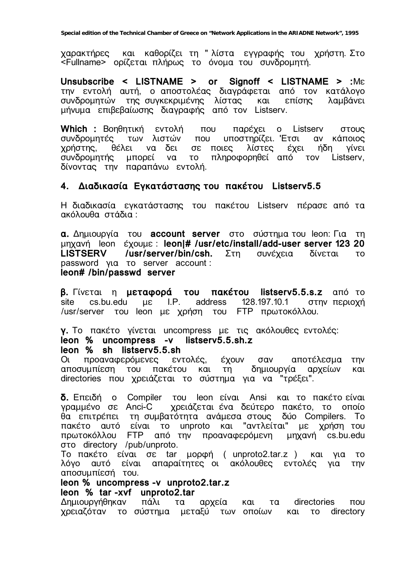και καθορίζει τη "λίστα εγγραφής του χρήστη. Στο χαρακτήρες <Fullname> ορίζεται πλήρως το όνομα του συνδρομητή.

Unsubscribe < LISTNAME > or Signoff < LISTNAME > :ME την εντολή αυτή, ο αποστολέας διαγράφεται από τον κατάλογο συνδρομητών της συγκεκριμένης λίστας και επίσης<br>μήνυμα επιβεβαίωσης διαγραφής από τον Listserv. λαμβάνει

Which : Βοηθητική εντολή που παρέχει ο Listserv στους υποστηρίζει. Έτσι συνδρομητές των λιστών  $\overline{u}$ ou αν κάποιος σε ποιες θέλει να δει λίστες έχει ήδη χρήστης, νίνει να το πληροφορηθεί από τον Listserv, συνδρομητής μπορεί δίνοντας την παραπάνω εντολή.

### 4. Διαδικασία Εγκατάστασης του πακέτου Listserv5.5

Η διαδικασία εγκατάστασης του πακέτου Listsery πέρασε από τα ακόλουθα στάδια:

α. Δημιουργία του account server στο σύστημα του leon: Για τη μηχανή leon έχουμε: leon|# /usr/etc/install/add-user server 123 20 /usr/server/bin/csh. **LISTSERV** Στη συνέχεια δίνεται **TO** password yig to server account: leon# /bin/passwd server

**β.** Γίνεται η μεταφορά του πακέτου listserv5.5.s.z από το cs.bu.edu µc I.P. address 128.197.10.1 στην περιοχή site /usr/server του leon με χρήση του FTP πρωτοκόλλου.

γ. Το πακέτο γίνεται uncompress με τις ακόλουθες εντολές:

# leon % uncompress -v listserv5.5.sh.z

#### leon % sh listserv5.5.sh

προαναφερόμενες εντολές, έχουν σαν αποτέλεσμα  $\Omega$ **TNV** αποσυμπίεση του πακέτου και τη δημιουργία αρχείων και directories που χρειάζεται το σύστημα για να "τρέξει".

δ. Επειδή ο Compiler του leon είναι Ansi και το πακέτο είναι γραμμένο σε Anci-C χρειάζεται ένα δεύτερο πακέτο, το οποίο θα επιτρέπει τη συμβατότητα ανάμεσα στους δύο Compilers. Το πακέτο αυτό είναι το unproto και "αντλείται" με χρήση του πρωτοκόλλου FTP από την προαναφερόμενη μηχανή cs.bu.edu στο directory /pub/unproto.

Το πακέτο είναι σε tar μορφή (unproto2.tar.z) και για το λόγο αυτό είναι απαραίτητες οι ακόλουθες εντολές νια **TNV** αποσυμπίεσή του.

## leon % uncompress -v unproto2.tar.z

leon % tar-xyf unproto2.tar

Δημιουρνήθηκαν πάλι τα αρχεία και directories  $T\alpha$  $\overline{101}$ χρειαζόταν το σύστημα μεταξύ των οποίων directory και το